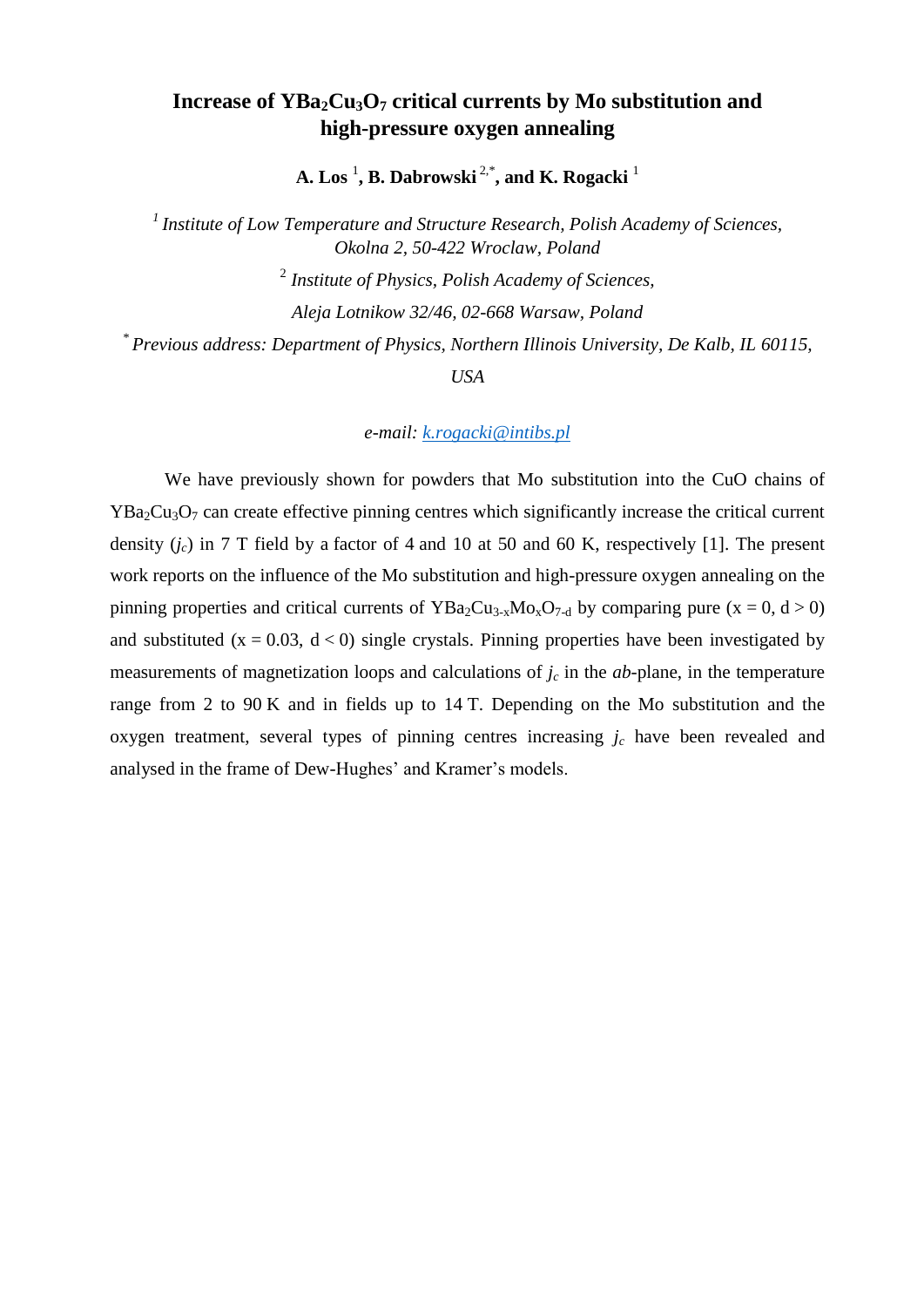# **Increase of YBa2Cu3O<sup>7</sup> critical currents by Mo substitution and high-pressure oxygen annealing**

**A. Los** <sup>1</sup> **, B. Dabrowski** 2,\* **, and K. Rogacki** <sup>1</sup>

*1 Institute of Low Temperature and Structure Research, Polish Academy of Sciences, Okolna 2, 50-422 Wroclaw, Poland*

2 *Institute of Physics, Polish Academy of Sciences,* 

*Aleja Lotnikow 32/46, 02-668 Warsaw, Poland*

*\* Previous address: Department of Physics, Northern Illinois University, De Kalb, IL 60115,* 

*USA*

*e-mail: [k.rogacki@intibs.pl](mailto:k.rogacki@intibs.pl)*

We have previously shown for powders that Mo substitution into the CuO chains of  $YBa<sub>2</sub>Cu<sub>3</sub>O<sub>7</sub>$  can create effective pinning centres which significantly increase the critical current density  $(i_c)$  in 7 T field by a factor of 4 and 10 at 50 and 60 K, respectively [1]. The present work reports on the influence of the Mo substitution and high-pressure oxygen annealing on the pinning properties and critical currents of  $YBa_2Cu_{3-x}Mo_xO_{7-d}$  by comparing pure  $(x = 0, d > 0)$ and substituted ( $x = 0.03$ ,  $d < 0$ ) single crystals. Pinning properties have been investigated by measurements of magnetization loops and calculations of *j<sup>c</sup>* in the *ab*-plane, in the temperature range from 2 to 90 K and in fields up to 14 T. Depending on the Mo substitution and the oxygen treatment, several types of pinning centres increasing  $j_c$  have been revealed and analysed in the frame of Dew-Hughes' and Kramer's models.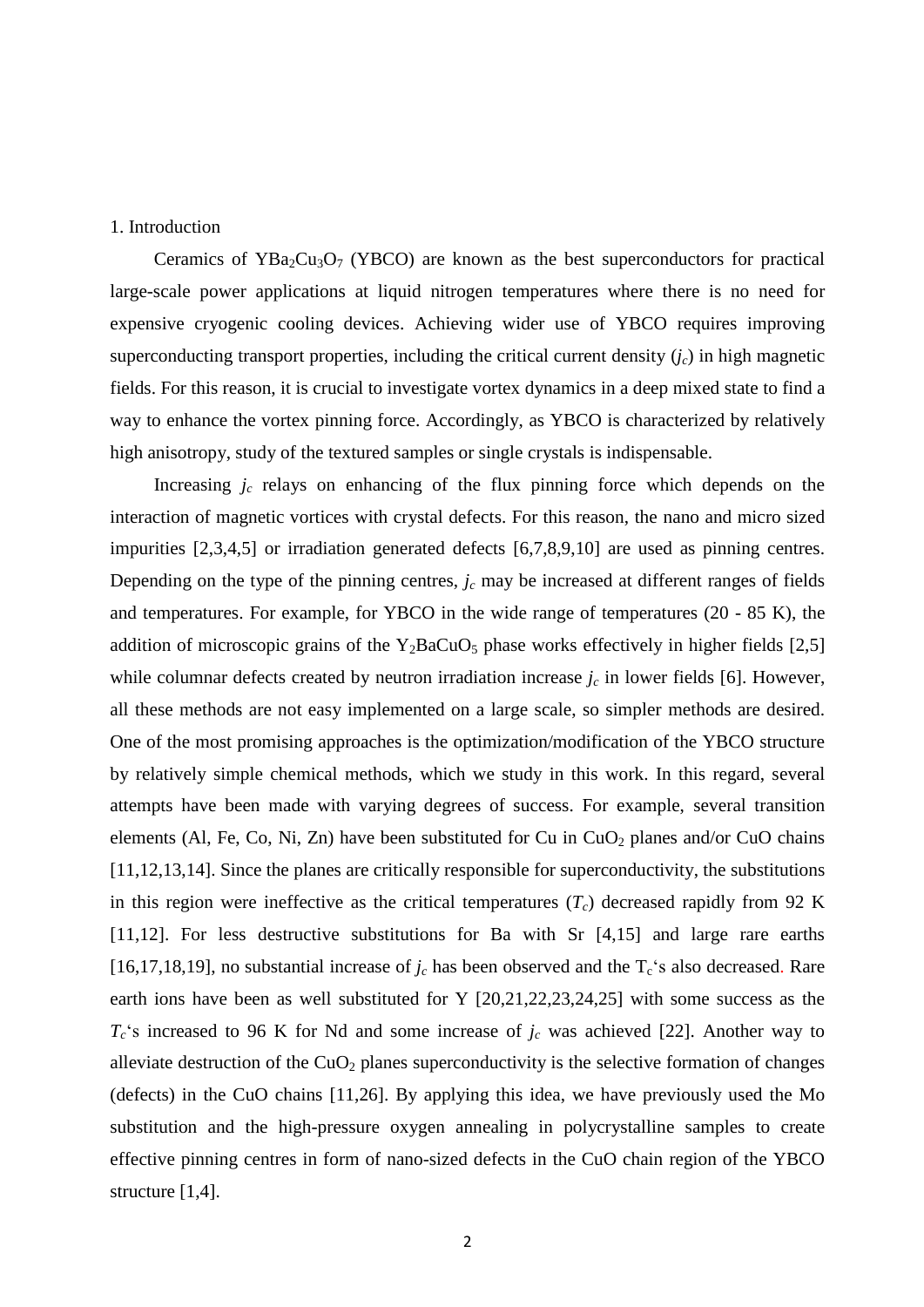### 1. Introduction

Ceramics of  $YBa<sub>2</sub>Cu<sub>3</sub>O<sub>7</sub>$  (YBCO) are known as the best superconductors for practical large-scale power applications at liquid nitrogen temperatures where there is no need for expensive cryogenic cooling devices. Achieving wider use of YBCO requires improving superconducting transport properties, including the critical current density  $(j_c)$  in high magnetic fields. For this reason, it is crucial to investigate vortex dynamics in a deep mixed state to find a way to enhance the vortex pinning force. Accordingly, as YBCO is characterized by relatively high anisotropy, study of the textured samples or single crystals is indispensable.

Increasing  $j_c$  relays on enhancing of the flux pinning force which depends on the interaction of magnetic vortices with crystal defects. For this reason, the nano and micro sized impurities [2,3,4,5] or irradiation generated defects [6,7,8,9,10] are used as pinning centres. Depending on the type of the pinning centres,  $j_c$  may be increased at different ranges of fields and temperatures. For example, for YBCO in the wide range of temperatures (20 - 85 K), the addition of microscopic grains of the  $Y_2BaCuO_5$  phase works effectively in higher fields [2,5] while columnar defects created by neutron irradiation increase  $j_c$  in lower fields [6]. However, all these methods are not easy implemented on a large scale, so simpler methods are desired. One of the most promising approaches is the optimization/modification of the YBCO structure by relatively simple chemical methods, which we study in this work. In this regard, several attempts have been made with varying degrees of success. For example, several transition elements (Al, Fe, Co, Ni, Zn) have been substituted for Cu in  $CuO<sub>2</sub>$  planes and/or CuO chains [11,12,13,14]. Since the planes are critically responsible for superconductivity, the substitutions in this region were ineffective as the critical temperatures  $(T_c)$  decreased rapidly from 92 K [11,12]. For less destructive substitutions for Ba with Sr [4,15] and large rare earths [16,17,18,19], no substantial increase of  $j_c$  has been observed and the  $T_c$ 's also decreased. Rare earth ions have been as well substituted for Y [20,21,22,23,24,25] with some success as the  $T_c$ 's increased to 96 K for Nd and some increase of  $j_c$  was achieved [22]. Another way to alleviate destruction of the  $CuO<sub>2</sub>$  planes superconductivity is the selective formation of changes (defects) in the CuO chains [11,26]. By applying this idea, we have previously used the Mo substitution and the high-pressure oxygen annealing in polycrystalline samples to create effective pinning centres in form of nano-sized defects in the CuO chain region of the YBCO structure [1,4].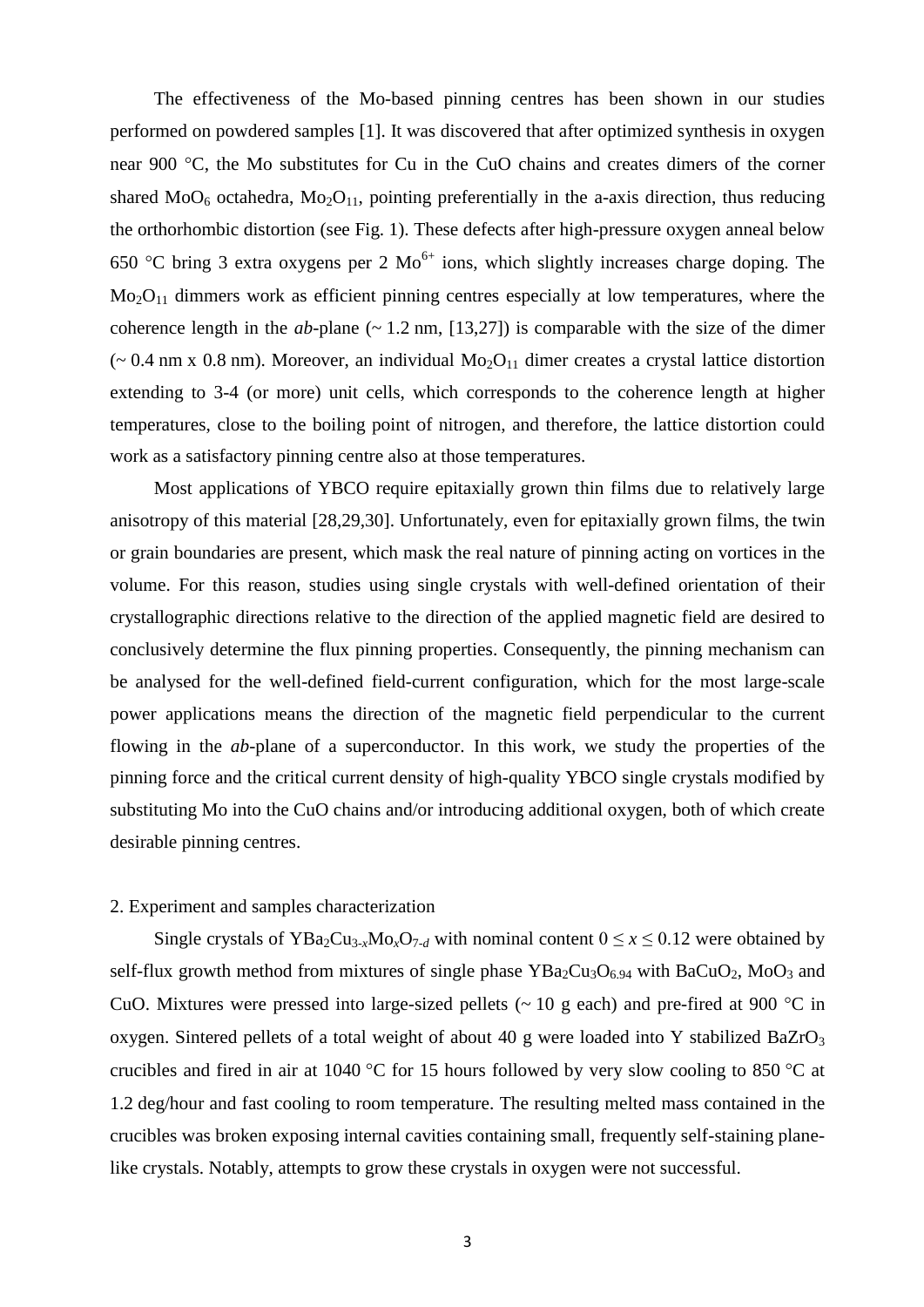The effectiveness of the Mo-based pinning centres has been shown in our studies performed on powdered samples [1]. It was discovered that after optimized synthesis in oxygen near 900 °C, the Mo substitutes for Cu in the CuO chains and creates dimers of the corner shared  $MO_6$  octahedra,  $Mo_2O_{11}$ , pointing preferentially in the a-axis direction, thus reducing the orthorhombic distortion (see Fig. 1). These defects after high-pressure oxygen anneal below 650 °C bring 3 extra oxygens per 2  $Mo<sup>6+</sup>$  ions, which slightly increases charge doping. The  $Mo<sub>2</sub>O<sub>11</sub>$  dimmers work as efficient pinning centres especially at low temperatures, where the coherence length in the  $ab$ -plane ( $\sim$  1.2 nm, [13,27]) is comparable with the size of the dimer ( $\sim$  0.4 nm x 0.8 nm). Moreover, an individual Mo<sub>2</sub>O<sub>11</sub> dimer creates a crystal lattice distortion extending to 3-4 (or more) unit cells, which corresponds to the coherence length at higher temperatures, close to the boiling point of nitrogen, and therefore, the lattice distortion could work as a satisfactory pinning centre also at those temperatures.

Most applications of YBCO require epitaxially grown thin films due to relatively large anisotropy of this material [28,29,30]. Unfortunately, even for epitaxially grown films, the twin or grain boundaries are present, which mask the real nature of pinning acting on vortices in the volume. For this reason, studies using single crystals with well-defined orientation of their crystallographic directions relative to the direction of the applied magnetic field are desired to conclusively determine the flux pinning properties. Consequently, the pinning mechanism can be analysed for the well-defined field-current configuration, which for the most large-scale power applications means the direction of the magnetic field perpendicular to the current flowing in the *ab*-plane of a superconductor. In this work, we study the properties of the pinning force and the critical current density of high-quality YBCO single crystals modified by substituting Mo into the CuO chains and/or introducing additional oxygen, both of which create desirable pinning centres.

### 2. Experiment and samples characterization

Single crystals of YBa<sub>2</sub>Cu<sub>3-*x*</sub>Mo<sub>*x*</sub>O<sub>7-*d*</sub> with nominal content  $0 \le x \le 0.12$  were obtained by self-flux growth method from mixtures of single phase  $YBa<sub>2</sub>Cu<sub>3</sub>O<sub>6.94</sub>$  with BaCuO<sub>2</sub>, MoO<sub>3</sub> and CuO. Mixtures were pressed into large-sized pellets ( $\sim 10$  g each) and pre-fired at 900 °C in oxygen. Sintered pellets of a total weight of about 40 g were loaded into Y stabilized BaZrO<sub>3</sub> crucibles and fired in air at 1040 °C for 15 hours followed by very slow cooling to 850 °C at 1.2 deg/hour and fast cooling to room temperature. The resulting melted mass contained in the crucibles was broken exposing internal cavities containing small, frequently self-staining planelike crystals. Notably, attempts to grow these crystals in oxygen were not successful.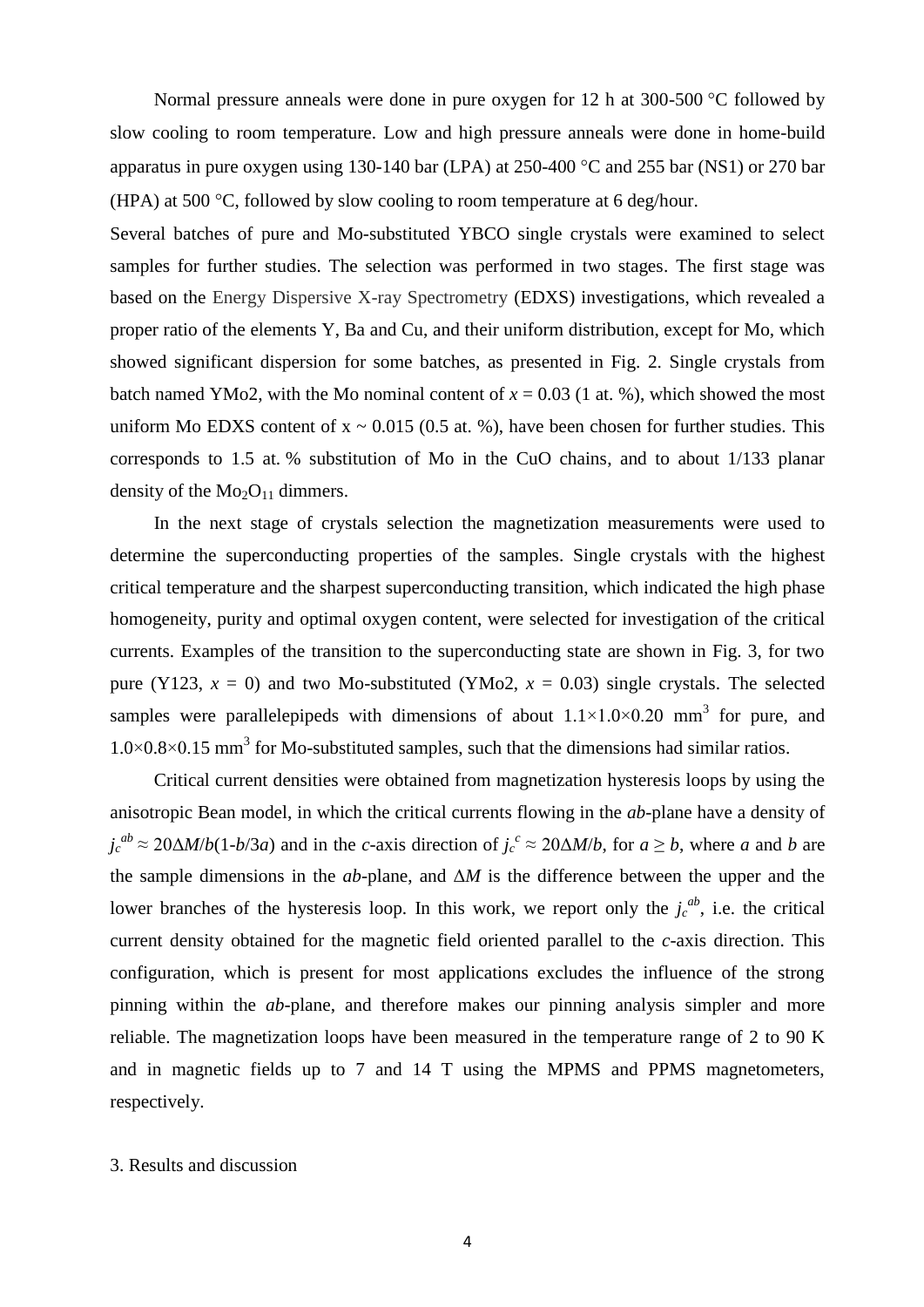Normal pressure anneals were done in pure oxygen for 12 h at 300-500  $\degree$ C followed by slow cooling to room temperature. Low and high pressure anneals were done in home-build apparatus in pure oxygen using 130-140 bar (LPA) at 250-400  $^{\circ}$ C and 255 bar (NS1) or 270 bar (HPA) at 500  $\degree$ C, followed by slow cooling to room temperature at 6 deg/hour.

Several batches of pure and Mo-substituted YBCO single crystals were examined to select samples for further studies. The selection was performed in two stages. The first stage was based on the Energy Dispersive X-ray Spectrometry (EDXS) investigations, which revealed a proper ratio of the elements Y, Ba and Cu, and their uniform distribution, except for Mo, which showed significant dispersion for some batches, as presented in Fig. 2. Single crystals from batch named YMo2, with the Mo nominal content of  $x = 0.03$  (1 at. %), which showed the most uniform Mo EDXS content of  $x \sim 0.015$  (0.5 at. %), have been chosen for further studies. This corresponds to 1.5 at. % substitution of Mo in the CuO chains, and to about 1/133 planar density of the  $Mo<sub>2</sub>O<sub>11</sub>$  dimmers.

In the next stage of crystals selection the magnetization measurements were used to determine the superconducting properties of the samples. Single crystals with the highest critical temperature and the sharpest superconducting transition, which indicated the high phase homogeneity, purity and optimal oxygen content, were selected for investigation of the critical currents. Examples of the transition to the superconducting state are shown in Fig. 3, for two pure (Y123,  $x = 0$ ) and two Mo-substituted (YMo2,  $x = 0.03$ ) single crystals. The selected samples were parallelepipeds with dimensions of about  $1.1 \times 1.0 \times 0.20$  mm<sup>3</sup> for pure, and  $1.0 \times 0.8 \times 0.15$  mm<sup>3</sup> for Mo-substituted samples, such that the dimensions had similar ratios.

Critical current densities were obtained from magnetization hysteresis loops by using the anisotropic Bean model, in which the critical currents flowing in the *ab*-plane have a density of  $j_c^{ab} \approx 20 \Delta M/b(1-b/3a)$  and in the *c*-axis direction of  $j_c^c \approx 20 \Delta M/b$ , for  $a \ge b$ , where *a* and *b* are the sample dimensions in the *ab*-plane, and Δ*M* is the difference between the upper and the lower branches of the hysteresis loop. In this work, we report only the  $j_c^{ab}$ , i.e. the critical current density obtained for the magnetic field oriented parallel to the *c*-axis direction. This configuration, which is present for most applications excludes the influence of the strong pinning within the *ab*-plane, and therefore makes our pinning analysis simpler and more reliable. The magnetization loops have been measured in the temperature range of 2 to 90 K and in magnetic fields up to 7 and 14 T using the MPMS and PPMS magnetometers, respectively.

# 3. Results and discussion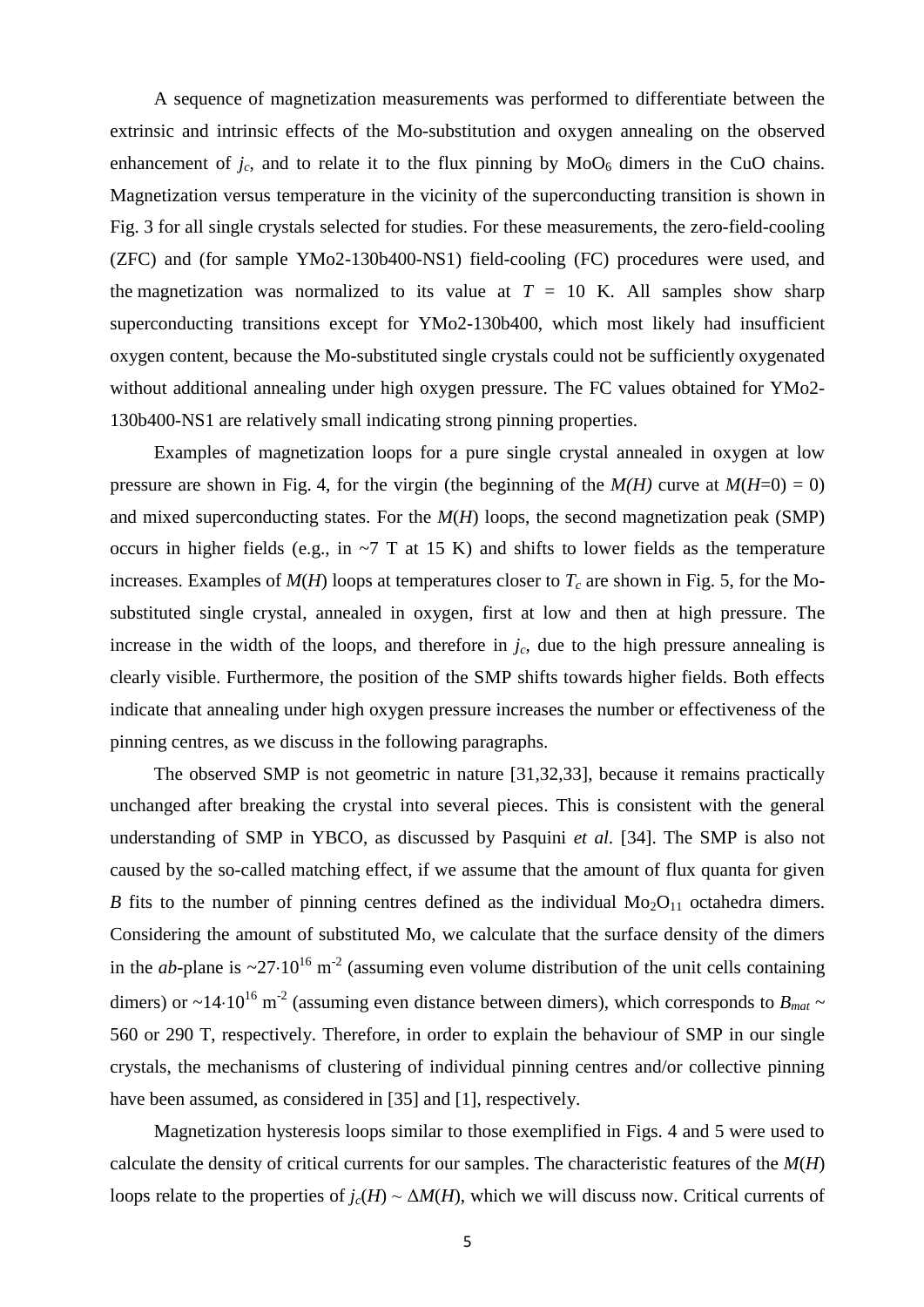A sequence of magnetization measurements was performed to differentiate between the extrinsic and intrinsic effects of the Mo-substitution and oxygen annealing on the observed enhancement of  $j_c$ , and to relate it to the flux pinning by  $MoO<sub>6</sub>$  dimers in the CuO chains. Magnetization versus temperature in the vicinity of the superconducting transition is shown in Fig. 3 for all single crystals selected for studies. For these measurements, the zero-field-cooling (ZFC) and (for sample YMo2-130b400-NS1) field-cooling (FC) procedures were used, and the magnetization was normalized to its value at  $T = 10$  K. All samples show sharp superconducting transitions except for YMo2-130b400, which most likely had insufficient oxygen content, because the Mo-substituted single crystals could not be sufficiently oxygenated without additional annealing under high oxygen pressure. The FC values obtained for YMo2- 130b400-NS1 are relatively small indicating strong pinning properties.

Examples of magnetization loops for a pure single crystal annealed in oxygen at low pressure are shown in Fig. 4, for the virgin (the beginning of the  $M(H)$  curve at  $M(H=0) = 0$ ) and mixed superconducting states. For the *M*(*H*) loops, the second magnetization peak (SMP) occurs in higher fields (e.g., in  $\sim$ 7 T at 15 K) and shifts to lower fields as the temperature increases. Examples of  $M(H)$  loops at temperatures closer to  $T_c$  are shown in Fig. 5, for the Mosubstituted single crystal, annealed in oxygen, first at low and then at high pressure. The increase in the width of the loops, and therefore in  $j<sub>c</sub>$ , due to the high pressure annealing is clearly visible. Furthermore, the position of the SMP shifts towards higher fields. Both effects indicate that annealing under high oxygen pressure increases the number or effectiveness of the pinning centres, as we discuss in the following paragraphs.

The observed SMP is not geometric in nature [31,32,33], because it remains practically unchanged after breaking the crystal into several pieces. This is consistent with the general understanding of SMP in YBCO, as discussed by Pasquini *et al.* [34]. The SMP is also not caused by the so-called matching effect, if we assume that the amount of flux quanta for given *B* fits to the number of pinning centres defined as the individual  $Mo<sub>2</sub>O<sub>11</sub>$  octahedra dimers. Considering the amount of substituted Mo, we calculate that the surface density of the dimers in the *ab*-plane is  $\sim$ 27.10<sup>16</sup> m<sup>-2</sup> (assuming even volume distribution of the unit cells containing dimers) or  $\sim$ 14·10<sup>16</sup> m<sup>-2</sup> (assuming even distance between dimers), which corresponds to *B*<sub>*mat*</sub>  $\sim$ 560 or 290 T, respectively. Therefore, in order to explain the behaviour of SMP in our single crystals, the mechanisms of clustering of individual pinning centres and/or collective pinning have been assumed, as considered in [35] and [1], respectively.

Magnetization hysteresis loops similar to those exemplified in Figs. 4 and 5 were used to calculate the density of critical currents for our samples. The characteristic features of the *M*(*H*) loops relate to the properties of  $j_c(H) \sim \Delta M(H)$ , which we will discuss now. Critical currents of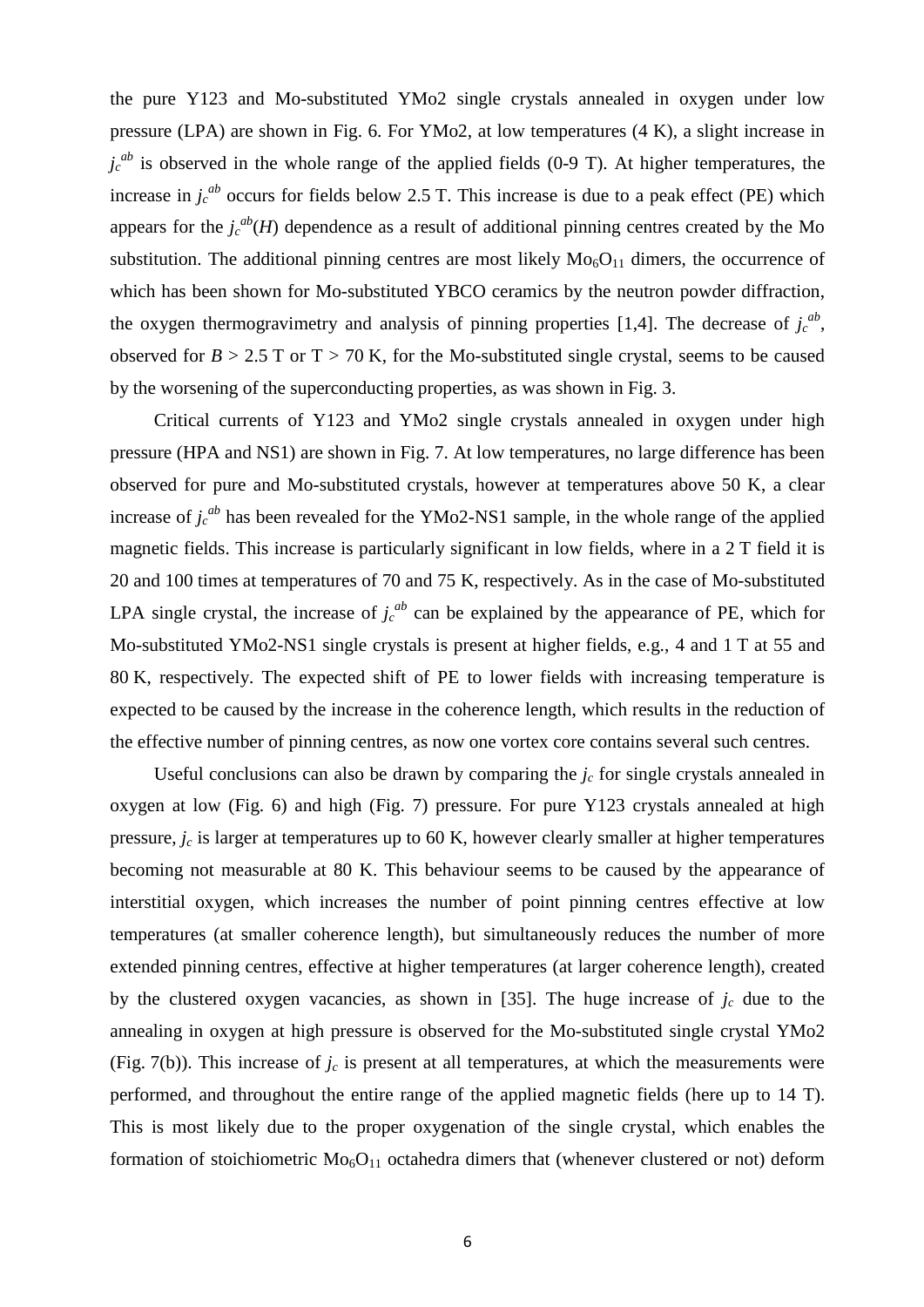the pure Y123 and Mo-substituted YMo2 single crystals annealed in oxygen under low pressure (LPA) are shown in Fig. 6. For YMo2, at low temperatures (4 K), a slight increase in  $j_c^{ab}$  is observed in the whole range of the applied fields (0-9 T). At higher temperatures, the increase in  $j_c^{ab}$  occurs for fields below 2.5 T. This increase is due to a peak effect (PE) which appears for the  $j_c^{ab}(H)$  dependence as a result of additional pinning centres created by the Mo substitution. The additional pinning centres are most likely  $Mo<sub>6</sub>O<sub>11</sub>$  dimers, the occurrence of which has been shown for Mo-substituted YBCO ceramics by the neutron powder diffraction, the oxygen thermogravimetry and analysis of pinning properties [1,4]. The decrease of  $j_c^{ab}$ , observed for  $B > 2.5$  T or T  $> 70$  K, for the Mo-substituted single crystal, seems to be caused by the worsening of the superconducting properties, as was shown in Fig. 3.

Critical currents of Y123 and YMo2 single crystals annealed in oxygen under high pressure (HPA and NS1) are shown in Fig. 7. At low temperatures, no large difference has been observed for pure and Mo-substituted crystals, however at temperatures above 50 K, a clear increase of  $j_c^{ab}$  has been revealed for the YMo2-NS1 sample, in the whole range of the applied magnetic fields. This increase is particularly significant in low fields, where in a 2 T field it is 20 and 100 times at temperatures of 70 and 75 K, respectively. As in the case of Mo-substituted LPA single crystal, the increase of  $j_c^{ab}$  can be explained by the appearance of PE, which for Mo-substituted YMo2-NS1 single crystals is present at higher fields, e.g., 4 and 1 T at 55 and 80 K, respectively. The expected shift of PE to lower fields with increasing temperature is expected to be caused by the increase in the coherence length, which results in the reduction of the effective number of pinning centres, as now one vortex core contains several such centres.

Useful conclusions can also be drawn by comparing the  $j_c$  for single crystals annealed in oxygen at low (Fig. 6) and high (Fig. 7) pressure. For pure Y123 crystals annealed at high pressure,  $j_c$  is larger at temperatures up to 60 K, however clearly smaller at higher temperatures becoming not measurable at 80 K. This behaviour seems to be caused by the appearance of interstitial oxygen, which increases the number of point pinning centres effective at low temperatures (at smaller coherence length), but simultaneously reduces the number of more extended pinning centres, effective at higher temperatures (at larger coherence length), created by the clustered oxygen vacancies, as shown in [35]. The huge increase of  $j_c$  due to the annealing in oxygen at high pressure is observed for the Mo-substituted single crystal YMo2 (Fig. 7(b)). This increase of  $j_c$  is present at all temperatures, at which the measurements were performed, and throughout the entire range of the applied magnetic fields (here up to 14 T). This is most likely due to the proper oxygenation of the single crystal, which enables the formation of stoichiometric  $Mo<sub>6</sub>O<sub>11</sub>$  octahedra dimers that (whenever clustered or not) deform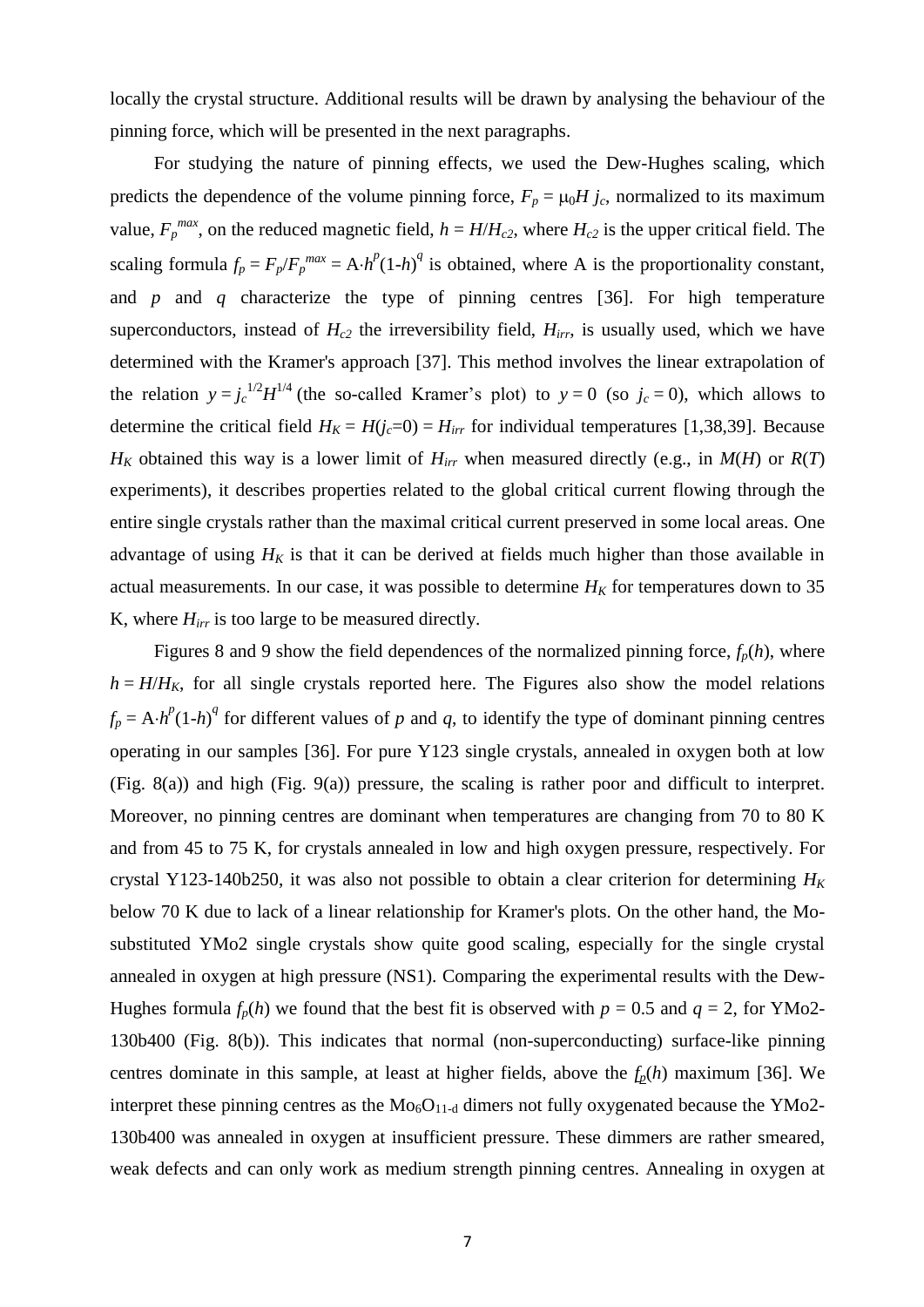locally the crystal structure. Additional results will be drawn by analysing the behaviour of the pinning force, which will be presented in the next paragraphs.

For studying the nature of pinning effects, we used the Dew-Hughes scaling, which predicts the dependence of the volume pinning force,  $F_p = \mu_0 H j_c$ , normalized to its maximum value,  $F_p^{max}$ , on the reduced magnetic field,  $h = H/H_{c2}$ , where  $H_{c2}$  is the upper critical field. The scaling formula  $f_p = F_p/F_p^{max} = A \cdot h^p (1-h)^q$  is obtained, where A is the proportionality constant, and *p* and *q* characterize the type of pinning centres [36]. For high temperature superconductors, instead of  $H_{c2}$  the irreversibility field,  $H_{irr}$ , is usually used, which we have determined with the Kramer's approach [37]. This method involves the linear extrapolation of the relation  $y = j_c^{1/2} H^{1/4}$  (the so-called Kramer's plot) to  $y = 0$  (so  $j_c = 0$ ), which allows to determine the critical field  $H_K = H(j_c=0) = H_{irr}$  for individual temperatures [1,38,39]. Because *H<sub>K</sub>* obtained this way is a lower limit of  $H_{irr}$  when measured directly (e.g., in  $M(H)$  or  $R(T)$ experiments), it describes properties related to the global critical current flowing through the entire single crystals rather than the maximal critical current preserved in some local areas. One advantage of using  $H_K$  is that it can be derived at fields much higher than those available in actual measurements. In our case, it was possible to determine  $H_K$  for temperatures down to 35 K, where *Hirr* is too large to be measured directly.

Figures 8 and 9 show the field dependences of the normalized pinning force,  $f_p(h)$ , where  $h = H/H_K$ , for all single crystals reported here. The Figures also show the model relations  $f_p = A \cdot h^p (1-h)^q$  for different values of *p* and *q*, to identify the type of dominant pinning centres operating in our samples [36]. For pure Y123 single crystals, annealed in oxygen both at low (Fig. 8(a)) and high (Fig. 9(a)) pressure, the scaling is rather poor and difficult to interpret. Moreover, no pinning centres are dominant when temperatures are changing from 70 to 80 K and from 45 to 75 K, for crystals annealed in low and high oxygen pressure, respectively. For crystal Y123-140b250, it was also not possible to obtain a clear criterion for determining  $H_K$ below 70 K due to lack of a linear relationship for Kramer's plots. On the other hand, the Mosubstituted YMo2 single crystals show quite good scaling, especially for the single crystal annealed in oxygen at high pressure (NS1). Comparing the experimental results with the Dew-Hughes formula  $f_p(h)$  we found that the best fit is observed with  $p = 0.5$  and  $q = 2$ , for YMo2-130b400 (Fig. 8(b)). This indicates that normal (non-superconducting) surface-like pinning centres dominate in this sample, at least at higher fields, above the *fp*(*h*) maximum [36]. We interpret these pinning centres as the  $Mo<sub>6</sub>O<sub>11-d</sub>$  dimers not fully oxygenated because the YMo2-130b400 was annealed in oxygen at insufficient pressure. These dimmers are rather smeared, weak defects and can only work as medium strength pinning centres. Annealing in oxygen at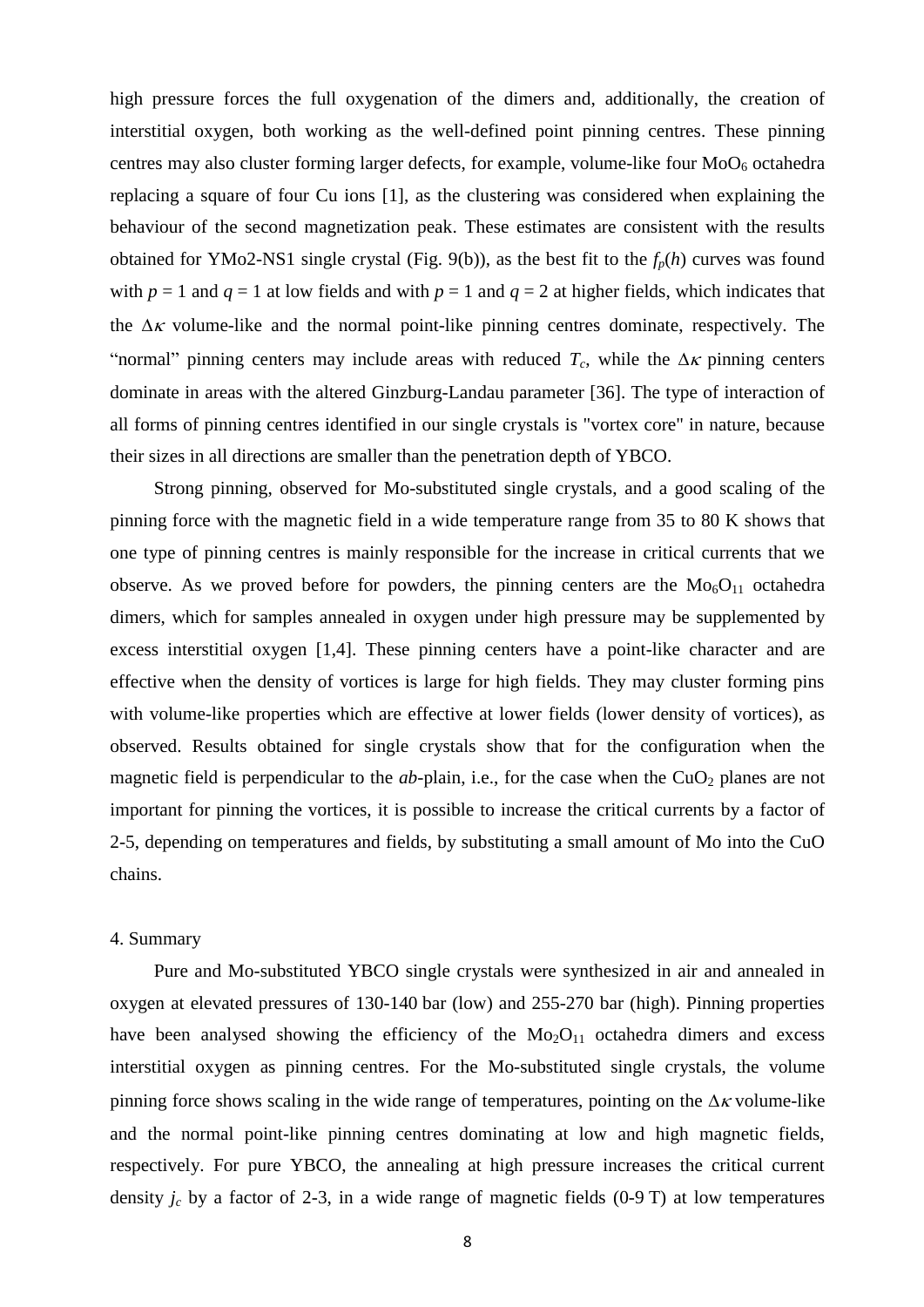high pressure forces the full oxygenation of the dimers and, additionally, the creation of interstitial oxygen, both working as the well-defined point pinning centres. These pinning centres may also cluster forming larger defects, for example, volume-like four  $MoO<sub>6</sub>$  octahedra replacing a square of four Cu ions [1], as the clustering was considered when explaining the behaviour of the second magnetization peak. These estimates are consistent with the results obtained for YMo2-NS1 single crystal (Fig. 9(b)), as the best fit to the *fp*(*h*) curves was found with  $p = 1$  and  $q = 1$  at low fields and with  $p = 1$  and  $q = 2$  at higher fields, which indicates that the  $\Delta \kappa$  volume-like and the normal point-like pinning centres dominate, respectively. The "normal" pinning centers may include areas with reduced  $T_c$ , while the  $\Delta \kappa$  pinning centers dominate in areas with the altered Ginzburg-Landau parameter [36]. The type of interaction of all forms of pinning centres identified in our single crystals is "vortex core" in nature, because their sizes in all directions are smaller than the penetration depth of YBCO.

Strong pinning, observed for Mo-substituted single crystals, and a good scaling of the pinning force with the magnetic field in a wide temperature range from 35 to 80 K shows that one type of pinning centres is mainly responsible for the increase in critical currents that we observe. As we proved before for powders, the pinning centers are the  $M_0$ <sub>6</sub>O<sub>11</sub> octahedra dimers, which for samples annealed in oxygen under high pressure may be supplemented by excess interstitial oxygen [1,4]. These pinning centers have a point-like character and are effective when the density of vortices is large for high fields. They may cluster forming pins with volume-like properties which are effective at lower fields (lower density of vortices), as observed. Results obtained for single crystals show that for the configuration when the magnetic field is perpendicular to the *ab*-plain, i.e., for the case when the  $CuO<sub>2</sub>$  planes are not important for pinning the vortices, it is possible to increase the critical currents by a factor of 2-5, depending on temperatures and fields, by substituting a small amount of Mo into the CuO chains.

#### 4. Summary

Pure and Mo-substituted YBCO single crystals were synthesized in air and annealed in oxygen at elevated pressures of 130-140 bar (low) and 255-270 bar (high). Pinning properties have been analysed showing the efficiency of the  $Mo<sub>2</sub>O<sub>11</sub>$  octahedra dimers and excess interstitial oxygen as pinning centres. For the Mo-substituted single crystals, the volume pinning force shows scaling in the wide range of temperatures, pointing on the  $\Delta \kappa$  volume-like and the normal point-like pinning centres dominating at low and high magnetic fields, respectively. For pure YBCO, the annealing at high pressure increases the critical current density  $j_c$  by a factor of 2-3, in a wide range of magnetic fields  $(0-9T)$  at low temperatures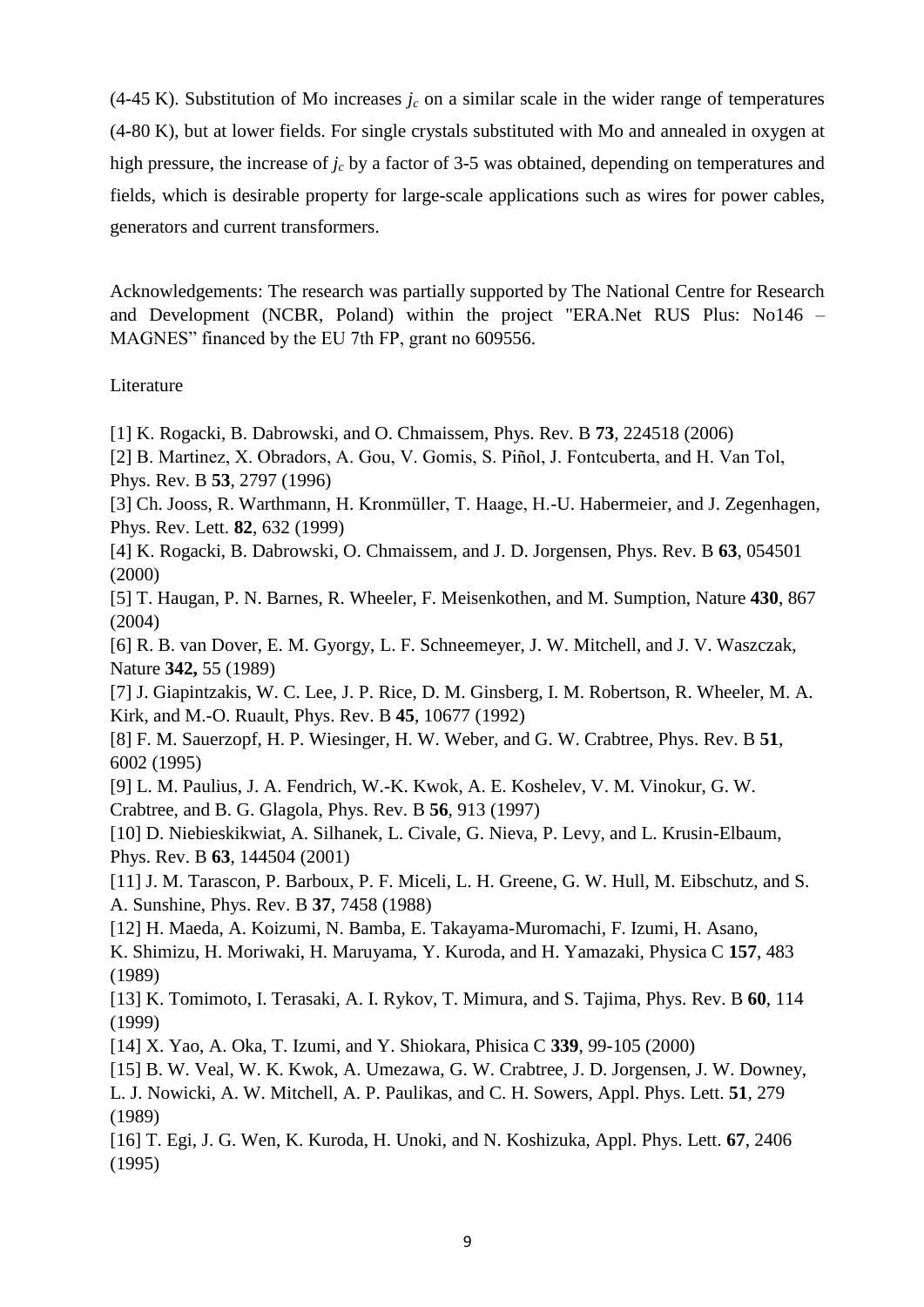(4-45 K). Substitution of Mo increases  $j_c$  on a similar scale in the wider range of temperatures (4-80 K), but at lower fields. For single crystals substituted with Mo and annealed in oxygen at high pressure, the increase of *j<sup>c</sup>* by a factor of 3-5 was obtained, depending on temperatures and fields, which is desirable property for large-scale applications such as wires for power cables, generators and current transformers.

Acknowledgements: The research was partially supported by The National Centre for Research and Development (NCBR, Poland) within the project "ERA.Net RUS Plus: No146 – MAGNES" financed by the EU 7th FP, grant no 609556.

# Literature

[1] K. Rogacki, B. Dabrowski, and O. Chmaissem, Phys. Rev. B **73**, 224518 (2006)

- [2] B. Martinez, X. Obradors, A. Gou, V. Gomis, S. Piñol, J. Fontcuberta, and H. Van Tol, Phys. Rev. B **53**, 2797 (1996)
- [3] Ch. Jooss, R. Warthmann, H. Kronmüller, T. Haage, H.-U. Habermeier, and J. Zegenhagen, Phys. Rev. Lett. **82**, 632 (1999)
- [4] K. Rogacki, B. Dabrowski, O. Chmaissem, and J. D. Jorgensen, Phys. Rev. B **63**, 054501 (2000)
- [5] T. Haugan, P. N. Barnes, R. Wheeler, F. Meisenkothen, and M. Sumption, Nature **430**, 867 (2004)

[6] R. B. van Dover, E. M. Gyorgy, L. F. Schneemeyer, J. W. Mitchell, and J. V. Waszczak, Nature **342,** 55 (1989)

[7] J. Giapintzakis, W. C. Lee, J. P. Rice, D. M. Ginsberg, I. M. Robertson, R. Wheeler, M. A. Kirk, and M.-O. Ruault, Phys. Rev. B **45**, 10677 (1992)

[8] F. M. Sauerzopf, H. P. Wiesinger, H. W. Weber, and G. W. Crabtree, Phys. Rev. B **51**, 6002 (1995)

[9] L. M. Paulius, J. A. Fendrich, W.-K. Kwok, A. E. Koshelev, V. M. Vinokur, G. W. Crabtree, and B. G. Glagola, Phys. Rev. B **56**, 913 (1997)

[10] D. Niebieskikwiat, A. Silhanek, L. Civale, G. Nieva, P. Levy, and L. Krusin-Elbaum, Phys. Rev. B **63**, 144504 (2001)

[11] J. M. Tarascon, P. Barboux, P. F. Miceli, L. H. Greene, G. W. Hull, M. Eibschutz, and S. A. Sunshine, Phys. Rev. B **37**, 7458 (1988)

[12] H. Maeda, A. Koizumi, N. Bamba, E. Takayama-Muromachi, F. Izumi, H. Asano, K. Shimizu, H. Moriwaki, H. Maruyama, Y. Kuroda, and H. Yamazaki, Physica C **157**, 483 (1989)

[13] K. Tomimoto, I. Terasaki, A. I. Rykov, T. Mimura, and S. Tajima, Phys. Rev. B **60**, 114 (1999)

[14] X. Yao, A. Oka, T. Izumi, and Y. Shiokara, Phisica C **339**, 99-105 (2000)

[15] B. W. Veal, W. K. Kwok, A. Umezawa, G. W. Crabtree, J. D. Jorgensen, J. W. Downey,

L. J. Nowicki, A. W. Mitchell, A. P. Paulikas, and C. H. Sowers, Appl. Phys. Lett. **51**, 279 (1989)

[16] T. Egi, J. G. Wen, K. Kuroda, H. Unoki, and N. Koshizuka, Appl. Phys. Lett. **67**, 2406 (1995)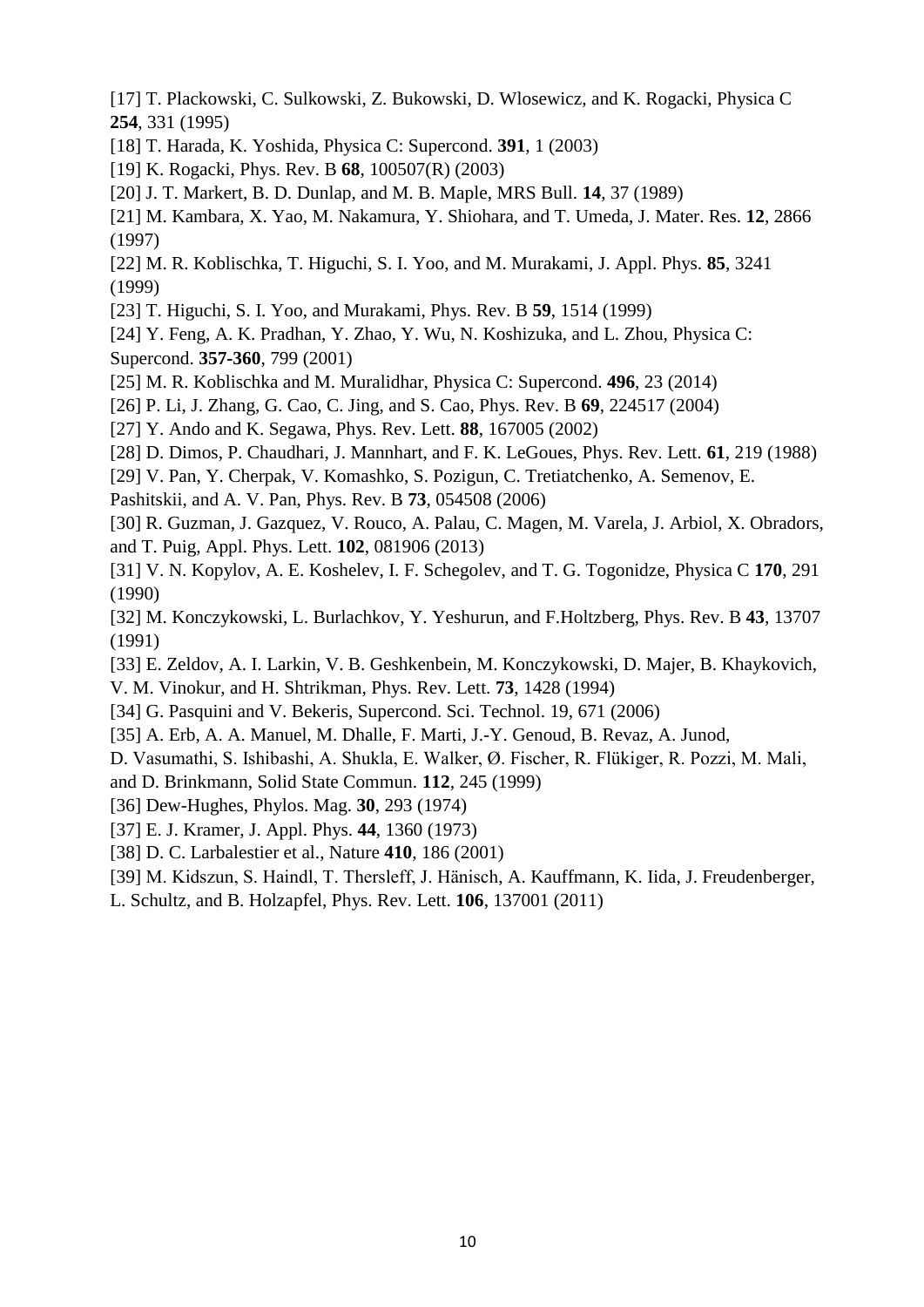- [17] T. Plackowski, C. Sulkowski, Z. Bukowski, D. Wlosewicz, and K. Rogacki, Physica C **254**, 331 (1995)
- [18] T. Harada, K. Yoshida, Physica C: Supercond. **391**, 1 (2003)
- [19] K. Rogacki, Phys. Rev. B **68**, 100507(R) (2003)
- [20] J. T. Markert, B. D. Dunlap, and M. B. Maple, MRS Bull. **14**, 37 (1989)
- [21] M. Kambara, X. Yao, M. Nakamura, Y. Shiohara, and T. Umeda, J. Mater. Res. **12**, 2866 (1997)
- [22] M. R. Koblischka, T. Higuchi, S. I. Yoo, and M. Murakami, J. Appl. Phys. **85**, 3241 (1999)
- [23] T. Higuchi, S. I. Yoo, and Murakami, Phys. Rev. B **59**, 1514 (1999)
- [24] Y. Feng, A. K. Pradhan, Y. Zhao, Y. Wu, N. Koshizuka, and L. Zhou, Physica C: Supercond. **357-360**, 799 (2001)
- [25] M. R. Koblischka and M. Muralidhar, Physica C: Supercond. **496**, 23 (2014)
- [26] P. Li, J. Zhang, G. Cao, C. Jing, and S. Cao, Phys. Rev. B **69**, 224517 (2004)
- [27] Y. Ando and K. Segawa, Phys. Rev. Lett. **88**, 167005 (2002)
- [28] D. Dimos, P. Chaudhari, J. Mannhart, and F. K. LeGoues, Phys. Rev. Lett. **61**, 219 (1988)
- [29] V. Pan, Y. Cherpak, V. Komashko, S. Pozigun, C. Tretiatchenko, A. Semenov, E.
- Pashitskii, and A. V. Pan, Phys. Rev. B **73**, 054508 (2006)
- [30] R. Guzman, J. Gazquez, V. Rouco, A. Palau, C. Magen, M. Varela, J. Arbiol, X. Obradors, and T. Puig, Appl. Phys. Lett. **102**, 081906 (2013)
- [31] V. N. Kopylov, A. E. Koshelev, I. F. Schegolev, and T. G. Togonidze, Physica C **170**, 291 (1990)
- [32] M. Konczykowski, L. Burlachkov, Y. Yeshurun, and F.Holtzberg, Phys. Rev. B **43**, 13707 (1991)
- [33] E. Zeldov, A. I. Larkin, V. B. Geshkenbein, M. Konczykowski, D. Majer, B. Khaykovich, V. M. Vinokur, and H. Shtrikman, Phys. Rev. Lett. **73**, 1428 (1994)
- [34] G. Pasquini and V. Bekeris, Supercond. Sci. Technol. 19, 671 (2006)
- [35] A. Erb, A. A. Manuel, M. Dhalle, F. Marti, J.-Y. Genoud, B. Revaz, A. Junod,
- D. Vasumathi, S. Ishibashi, A. Shukla, E. Walker, Ø. Fischer, R. Flükiger, R. Pozzi, M. Mali,
- and D. Brinkmann, Solid State Commun. **112**, 245 (1999)
- [36] Dew-Hughes, Phylos. Mag. **30**, 293 (1974)
- [37] E. J. Kramer, J. Appl. Phys. **44**, 1360 (1973)
- [38] D. C. Larbalestier et al., Nature **410**, 186 (2001)
- [39] M. Kidszun, S. Haindl, T. Thersleff, J. Hänisch, A. Kauffmann, K. Iida, J. Freudenberger,
- L. Schultz, and B. Holzapfel, Phys. Rev. Lett. **106**, 137001 (2011)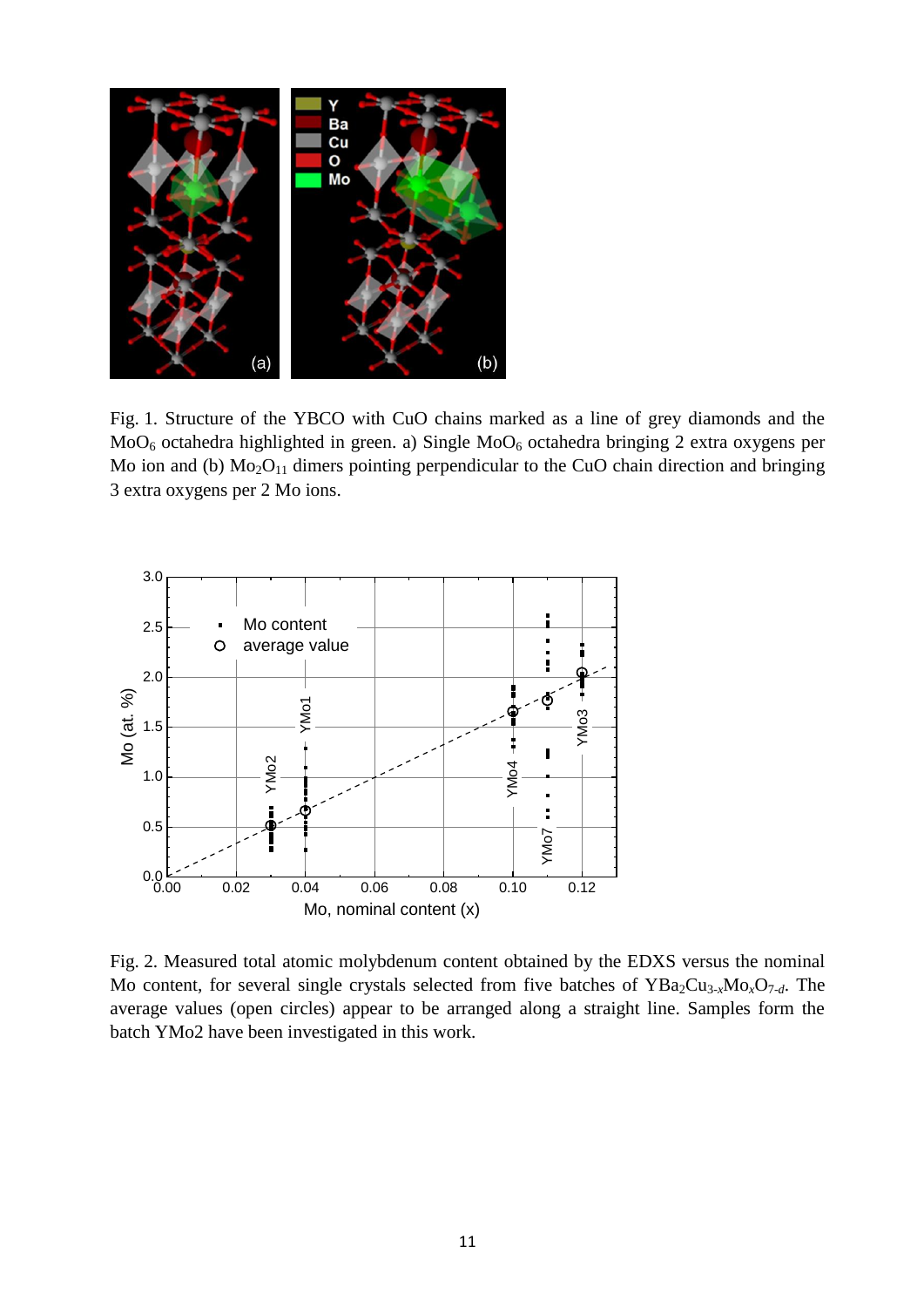

Fig. 1. Structure of the YBCO with CuO chains marked as a line of grey diamonds and the  $MoO<sub>6</sub> octahedra highlighted in green. a) Single MoO<sub>6</sub> octahedra bringing 2 extra oxygens per$ Mo ion and (b)  $Mo<sub>2</sub>O<sub>11</sub>$  dimers pointing perpendicular to the CuO chain direction and bringing 3 extra oxygens per 2 Mo ions.



Fig. 2. Measured total atomic molybdenum content obtained by the EDXS versus the nominal Mo content, for several single crystals selected from five batches of YBa<sub>2</sub>Cu<sub>3-*x*</sub>Mo<sub>*x*</sub>O<sub>7-*d*</sub>. The average values (open circles) appear to be arranged along a straight line. Samples form the batch YMo2 have been investigated in this work.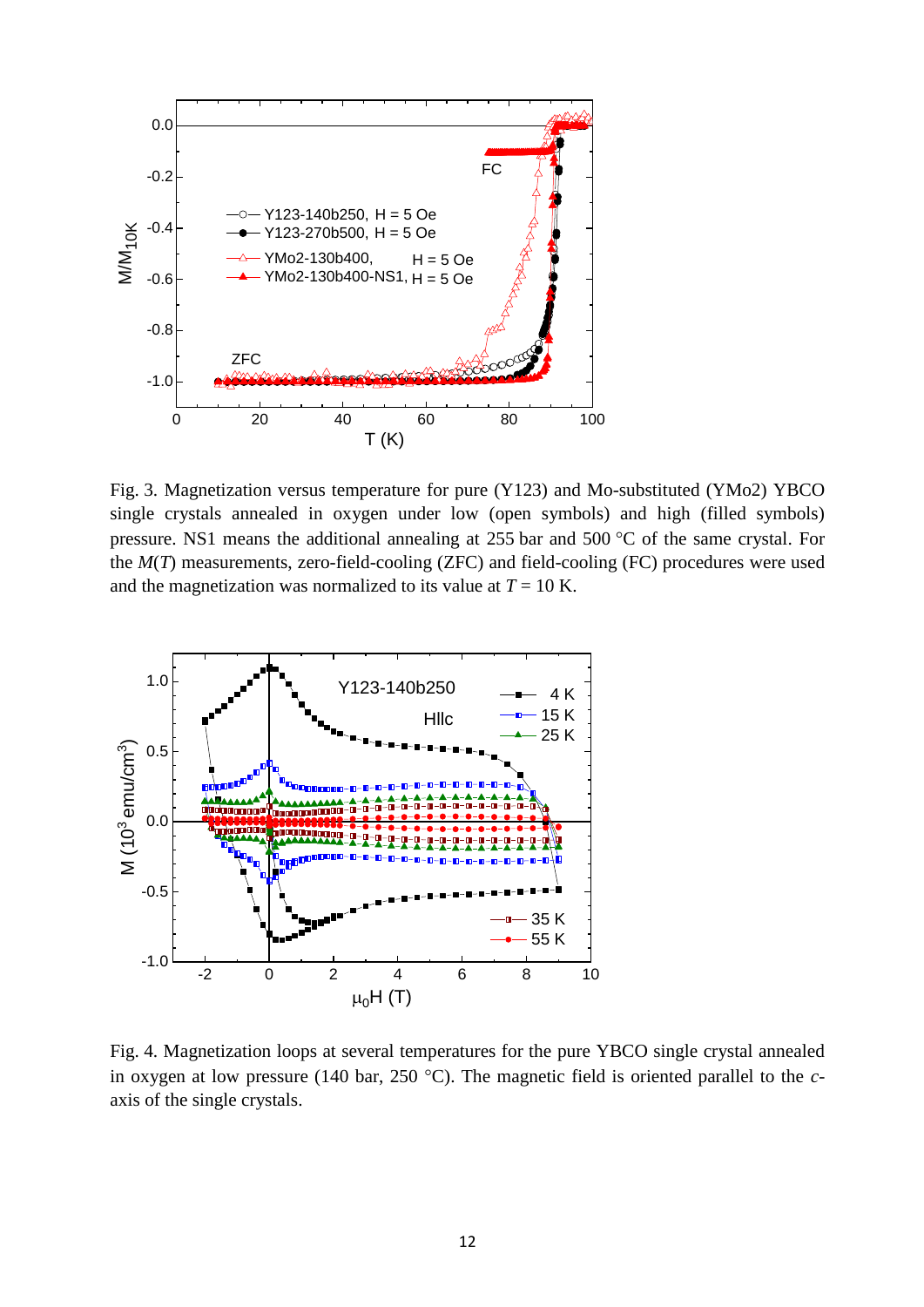

Fig. 3. Magnetization versus temperature for pure (Y123) and Mo-substituted (YMo2) YBCO single crystals annealed in oxygen under low (open symbols) and high (filled symbols) pressure. NS1 means the additional annealing at  $255$  bar and  $500$  °C of the same crystal. For the *M*(*T*) measurements, zero-field-cooling (ZFC) and field-cooling (FC) procedures were used and the magnetization was normalized to its value at  $T = 10$  K.



Fig. 4. Magnetization loops at several temperatures for the pure YBCO single crystal annealed in oxygen at low pressure (140 bar, 250 °C). The magnetic field is oriented parallel to the *c*axis of the single crystals.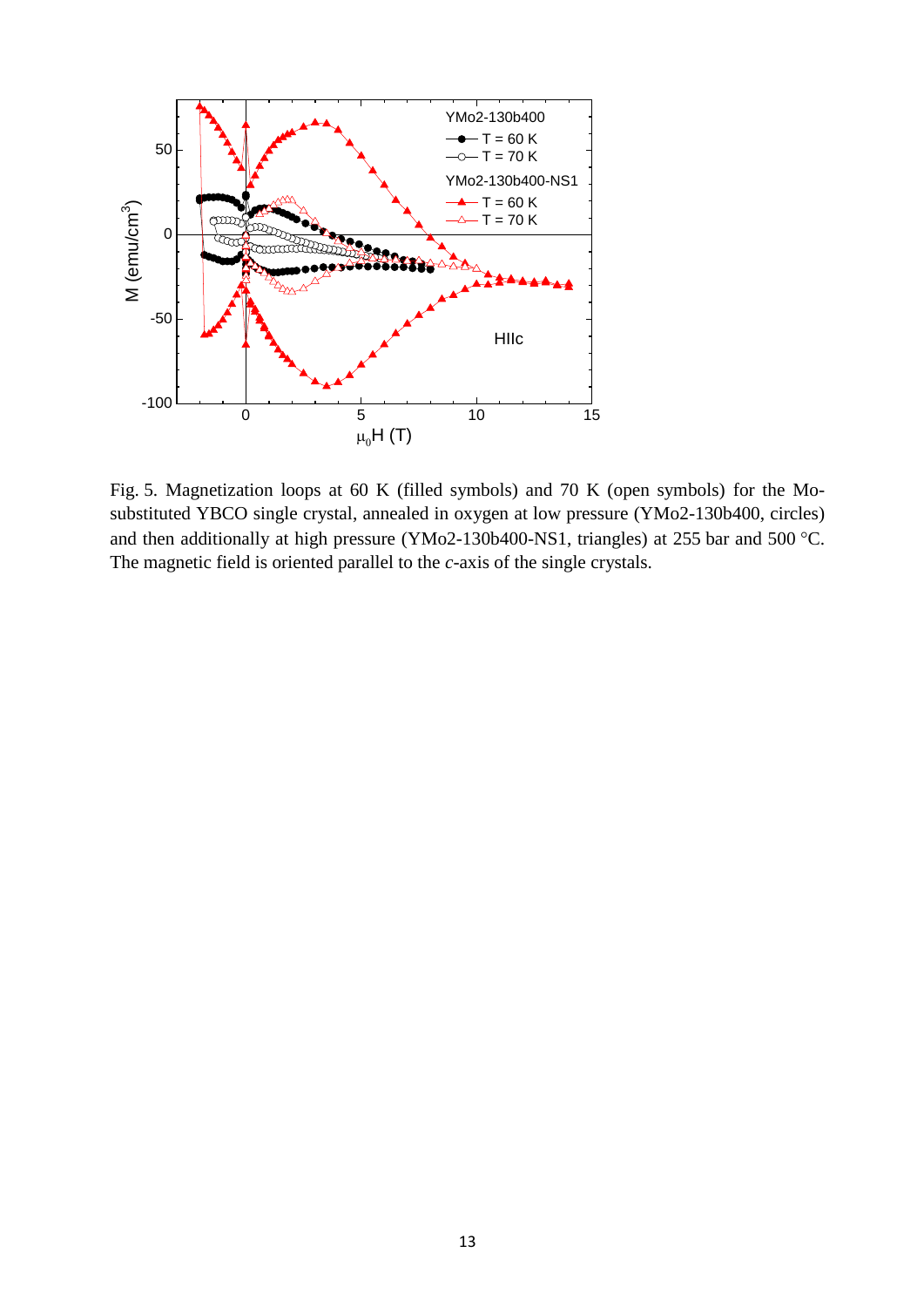

Fig. 5. Magnetization loops at 60 K (filled symbols) and 70 K (open symbols) for the Mosubstituted YBCO single crystal, annealed in oxygen at low pressure (YMo2-130b400, circles) and then additionally at high pressure (YMo2-130b400-NS1, triangles) at 255 bar and 500 °C. The magnetic field is oriented parallel to the *c*-axis of the single crystals.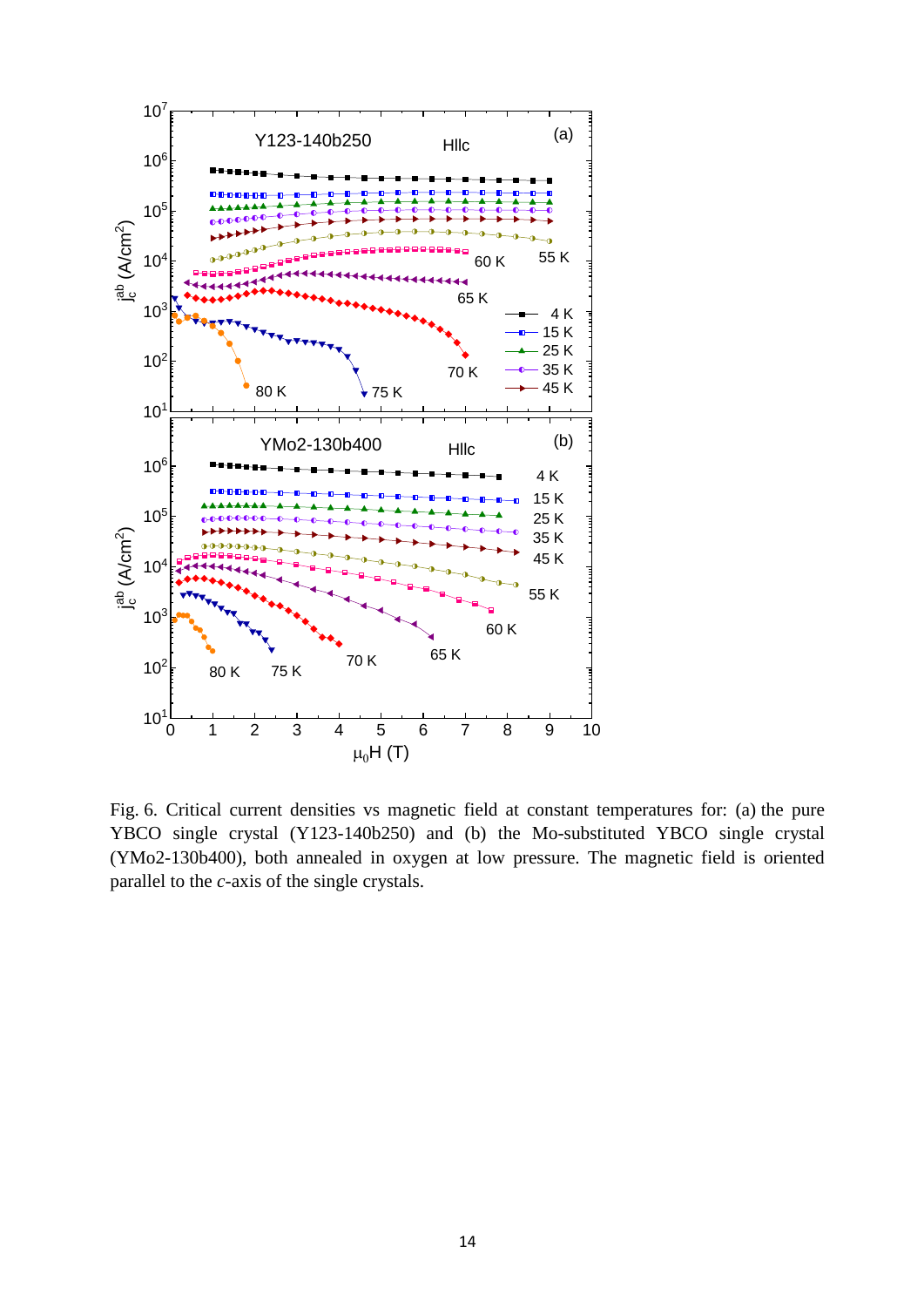

Fig. 6. Critical current densities vs magnetic field at constant temperatures for: (a) the pure YBCO single crystal (Y123-140b250) and (b) the Mo-substituted YBCO single crystal (YMo2-130b400), both annealed in oxygen at low pressure. The magnetic field is oriented parallel to the *c*-axis of the single crystals.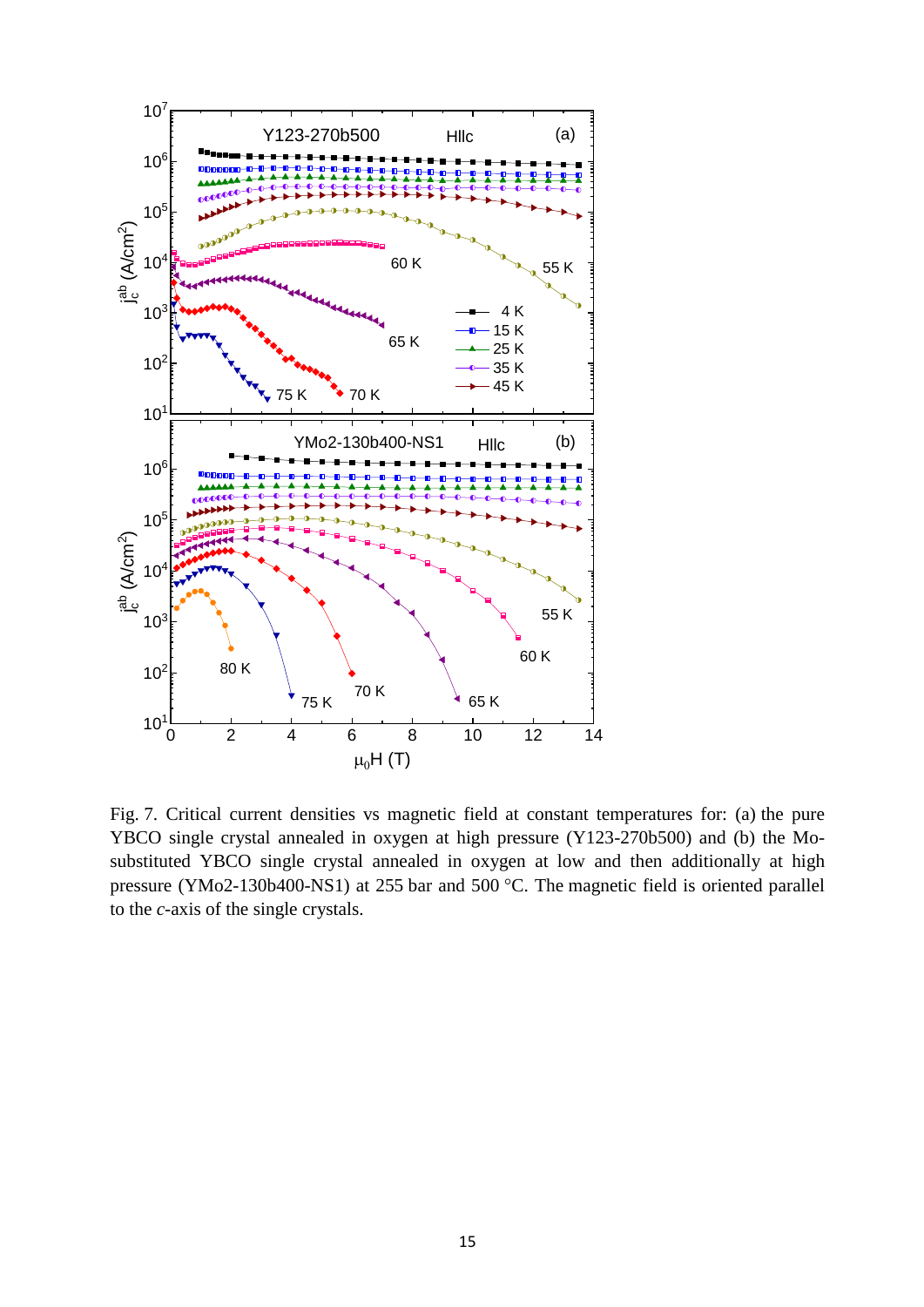

Fig. 7. Critical current densities vs magnetic field at constant temperatures for: (a) the pure YBCO single crystal annealed in oxygen at high pressure (Y123-270b500) and (b) the Mosubstituted YBCO single crystal annealed in oxygen at low and then additionally at high pressure (YMo2-130b400-NS1) at 255 bar and 500 °C. The magnetic field is oriented parallel to the *c*-axis of the single crystals.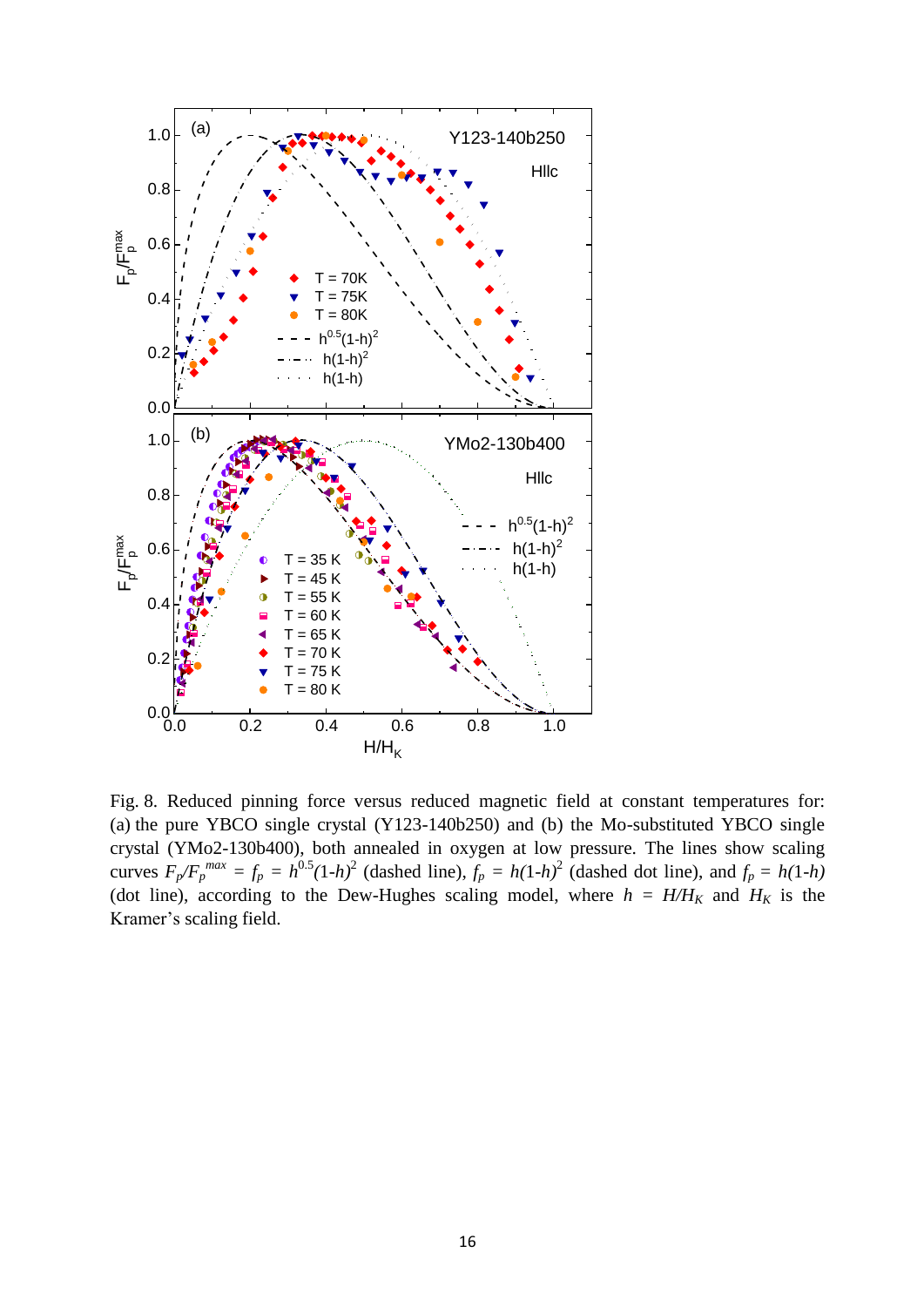

Fig. 8. Reduced pinning force versus reduced magnetic field at constant temperatures for: (a) the pure YBCO single crystal (Y123-140b250) and (b) the Mo-substituted YBCO single crystal (YMo2-130b400), both annealed in oxygen at low pressure. The lines show scaling curves  $F_p/F_p^{max} = f_p = h^{0.5}(1-h)^2$  (dashed line),  $f_p = h(1-h)^2$  (dashed dot line), and  $f_p = h(1-h)$ (dot line), according to the Dew-Hughes scaling model, where  $h = H/H_K$  and  $H_K$  is the Kramer's scaling field.